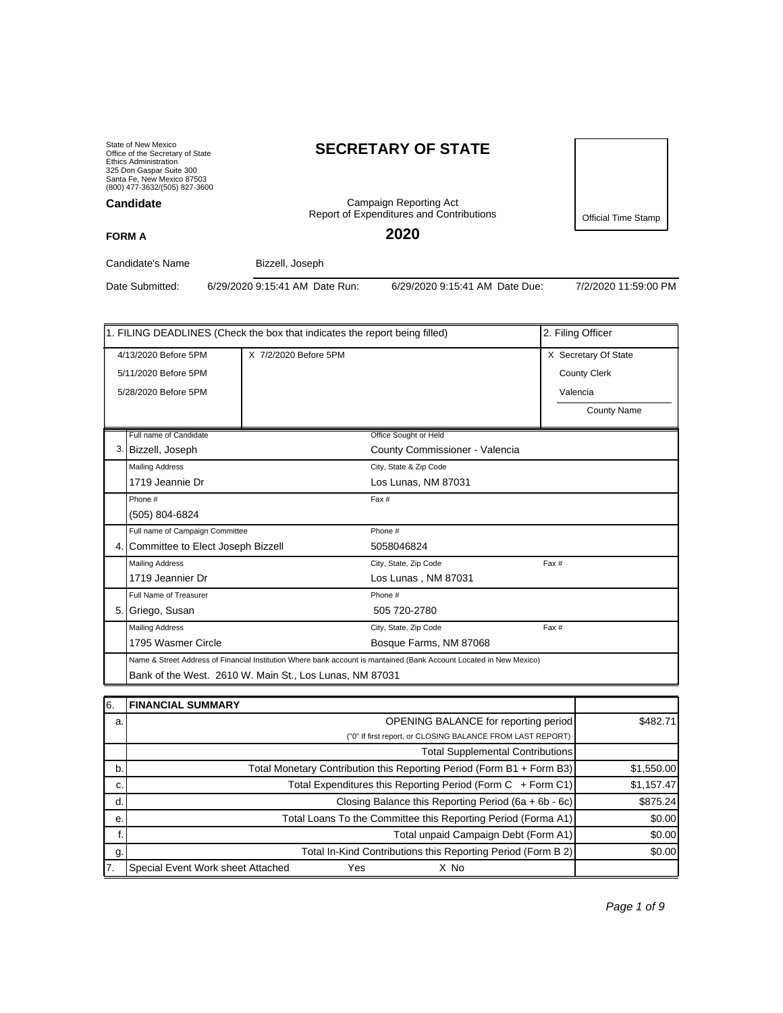State of New Mexico Office of the Secretary of State Ethics Administration 325 Don Gaspar Suite 300 Santa Fe, New Mexico 87503 (800) 477-3632/(505) 827-3600 **Candidate**

**FORM A**

# **SECRETARY OF STATE**

Campaign Reporting Act Report of Expenditures and Contributions

Official Time Stamp

**2020**

Candidate's Name Bizzell, Joseph

Date Submitted: 6/29/2020 9:15:41 AM Date Run: 6/29/2020 9:15:41 AM Date Due: 7/2/2020 11:59:00 PM

| 1. FILING DEADLINES (Check the box that indicates the report being filled) | 2. Filing Officer     |                                                                                                                     |                      |  |  |  |
|----------------------------------------------------------------------------|-----------------------|---------------------------------------------------------------------------------------------------------------------|----------------------|--|--|--|
| 4/13/2020 Before 5PM                                                       | X 7/2/2020 Before 5PM |                                                                                                                     | X Secretary Of State |  |  |  |
| 5/11/2020 Before 5PM                                                       |                       |                                                                                                                     | <b>County Clerk</b>  |  |  |  |
| 5/28/2020 Before 5PM                                                       |                       |                                                                                                                     | Valencia             |  |  |  |
|                                                                            |                       |                                                                                                                     |                      |  |  |  |
|                                                                            |                       |                                                                                                                     | <b>County Name</b>   |  |  |  |
| Full name of Candidate                                                     |                       | Office Sought or Held                                                                                               |                      |  |  |  |
| 3. Bizzell, Joseph                                                         |                       | County Commissioner - Valencia                                                                                      |                      |  |  |  |
| <b>Mailing Address</b>                                                     |                       | City, State & Zip Code                                                                                              |                      |  |  |  |
| 1719 Jeannie Dr                                                            |                       | Los Lunas, NM 87031                                                                                                 |                      |  |  |  |
| Phone #                                                                    |                       | Fax #                                                                                                               |                      |  |  |  |
| (505) 804-6824                                                             |                       |                                                                                                                     |                      |  |  |  |
| Full name of Campaign Committee                                            |                       | Phone #                                                                                                             |                      |  |  |  |
| 4. Committee to Elect Joseph Bizzell                                       |                       | 5058046824                                                                                                          |                      |  |  |  |
| <b>Mailing Address</b>                                                     |                       | City, State, Zip Code                                                                                               | Fax #                |  |  |  |
| 1719 Jeannier Dr                                                           |                       | Los Lunas, NM 87031                                                                                                 |                      |  |  |  |
| Full Name of Treasurer                                                     |                       | Phone #                                                                                                             |                      |  |  |  |
| 5. Griego, Susan                                                           |                       | 505 720-2780                                                                                                        |                      |  |  |  |
| <b>Mailing Address</b>                                                     |                       | City, State, Zip Code                                                                                               | Fax #                |  |  |  |
| 1795 Wasmer Circle                                                         |                       | Bosque Farms, NM 87068                                                                                              |                      |  |  |  |
|                                                                            |                       | Name & Street Address of Financial Institution Where bank account is mantained (Bank Account Located in New Mexico) |                      |  |  |  |
| Bank of the West. 2610 W. Main St., Los Lunas, NM 87031                    |                       |                                                                                                                     |                      |  |  |  |
|                                                                            |                       |                                                                                                                     |                      |  |  |  |

| 16. | <b>FINANCIAL SUMMARY</b>                                              |            |
|-----|-----------------------------------------------------------------------|------------|
| a.  | <b>OPENING BALANCE for reporting period</b>                           | \$482.71   |
|     | ("0" If first report, or CLOSING BALANCE FROM LAST REPORT)            |            |
|     | <b>Total Supplemental Contributions</b>                               |            |
| b.  | Total Monetary Contribution this Reporting Period (Form B1 + Form B3) | \$1,550.00 |
| C.  | Total Expenditures this Reporting Period (Form C + Form C1)           | \$1,157.47 |
| d.  | Closing Balance this Reporting Period (6a + 6b - 6c)                  | \$875.24   |
| е.  | Total Loans To the Committee this Reporting Period (Forma A1)         | \$0.00     |
|     | Total unpaid Campaign Debt (Form A1)                                  | \$0.00     |
| g.  | Total In-Kind Contributions this Reporting Period (Form B 2)          | \$0.00     |
| 17. | Special Event Work sheet Attached<br>Yes<br>X No                      |            |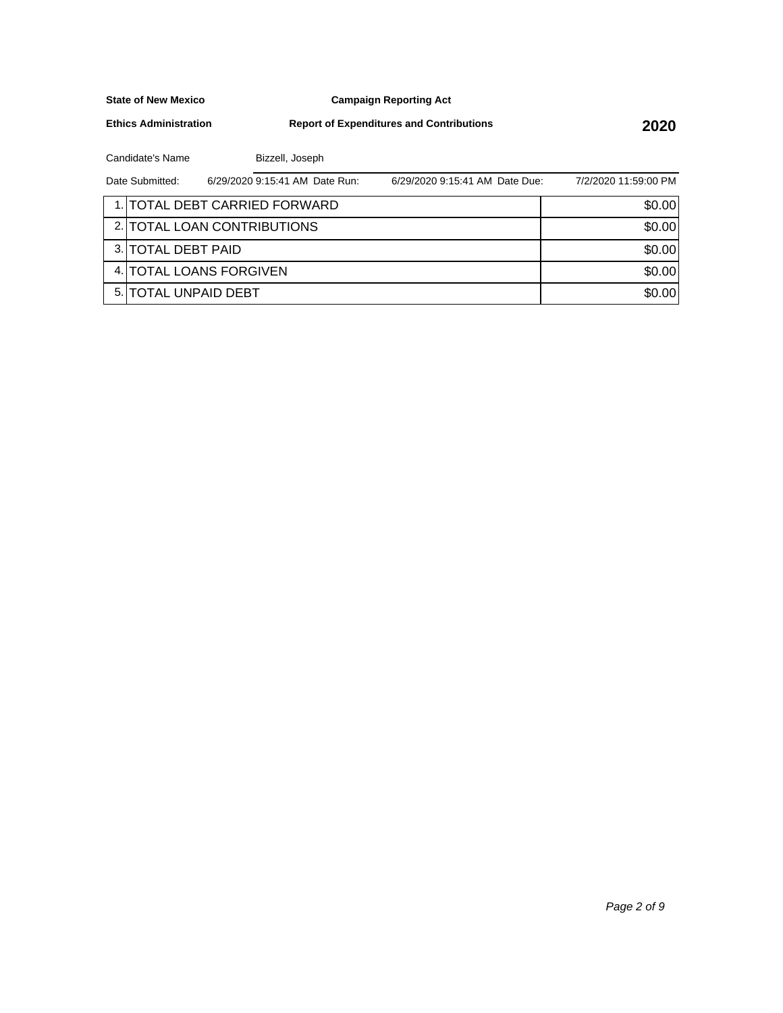**Campaign Reporting Act**

**Ethics Administration**

**Report of Expenditures and Contributions 2020**

Candidate's Name Bizzell, Joseph

| Date Submitted:       | 6/29/2020 9:15:41 AM Date Run: | 6/29/2020 9:15:41 AM Date Due: | 7/2/2020 11:59:00 PM |
|-----------------------|--------------------------------|--------------------------------|----------------------|
|                       | 1. TOTAL DEBT CARRIED FORWARD  |                                | \$0.00               |
|                       | 2. TOTAL LOAN CONTRIBUTIONS    |                                | \$0.00               |
| 3. TOTAL DEBT PAID    |                                |                                | \$0.00               |
|                       | 4. TOTAL LOANS FORGIVEN        |                                | \$0.00               |
| 5. ITOTAL UNPAID DEBT |                                |                                | \$0.00               |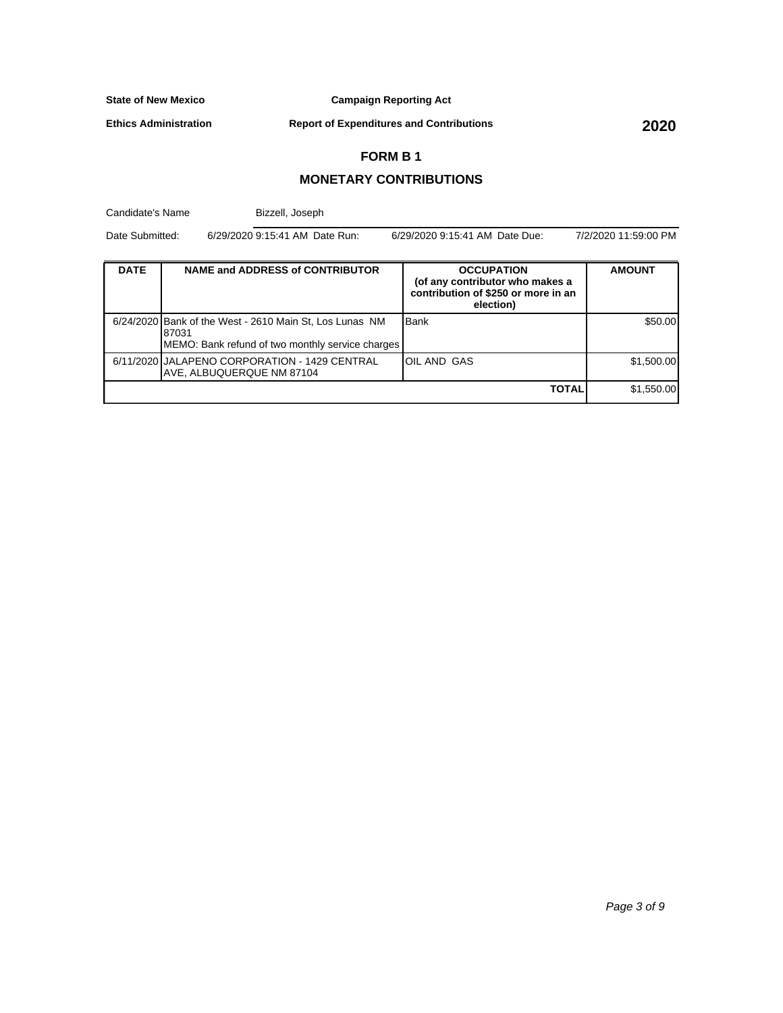**Campaign Reporting Act**

**Ethics Administration**

**Report of Expenditures and Contributions 2020**

## **FORM B 1**

### **MONETARY CONTRIBUTIONS**

| Candidate's Name<br>Date Submitted: |                           | Bizzell, Joseph                                                                                             |                                                                                                          |                      |  |  |
|-------------------------------------|---------------------------|-------------------------------------------------------------------------------------------------------------|----------------------------------------------------------------------------------------------------------|----------------------|--|--|
|                                     |                           | 6/29/2020 9:15:41 AM Date Run:<br>6/29/2020 9:15:41 AM Date Due:                                            |                                                                                                          | 7/2/2020 11:59:00 PM |  |  |
| <b>DATE</b>                         |                           | <b>NAME and ADDRESS of CONTRIBUTOR</b>                                                                      | <b>OCCUPATION</b><br>(of any contributor who makes a<br>contribution of \$250 or more in an<br>election) | <b>AMOUNT</b>        |  |  |
|                                     | 87031                     | 6/24/2020 Bank of the West - 2610 Main St, Los Lunas NM<br>MEMO: Bank refund of two monthly service charges | <b>Bank</b>                                                                                              | \$50.00              |  |  |
|                                     | AVE, ALBUQUERQUE NM 87104 | 6/11/2020 JJALAPENO CORPORATION - 1429 CENTRAL                                                              | OIL AND GAS                                                                                              | \$1,500.00           |  |  |
|                                     |                           |                                                                                                             | <b>TOTAL</b>                                                                                             | \$1,550.00           |  |  |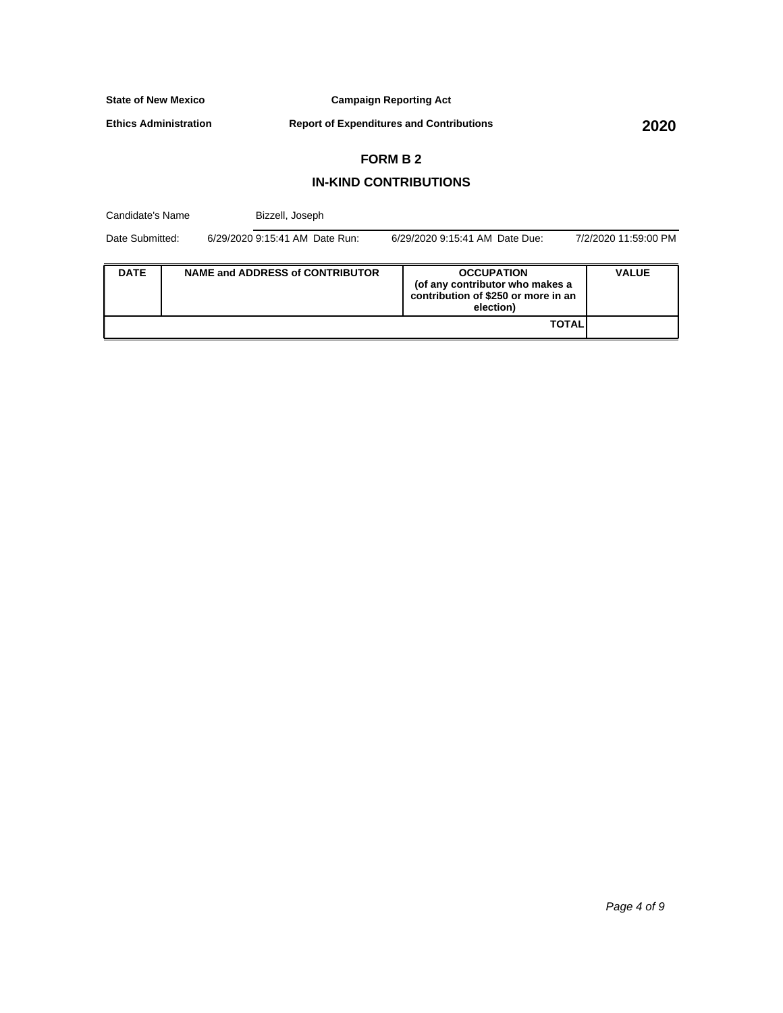**Campaign Reporting Act**

**Ethics Administration**

**Report of Expenditures and Contributions 2020**

# **FORM B 2**

#### **IN-KIND CONTRIBUTIONS**

| Candidate's Name |  |  | Bizzell, Joseph                                                  |  |                                                                                                          |              |
|------------------|--|--|------------------------------------------------------------------|--|----------------------------------------------------------------------------------------------------------|--------------|
| Date Submitted:  |  |  | 6/29/2020 9:15:41 AM Date Run:<br>6/29/2020 9:15:41 AM Date Due: |  | 7/2/2020 11:59:00 PM                                                                                     |              |
| <b>DATE</b>      |  |  | <b>NAME and ADDRESS of CONTRIBUTOR</b>                           |  | <b>OCCUPATION</b><br>(of any contributor who makes a<br>contribution of \$250 or more in an<br>election) | <b>VALUE</b> |
|                  |  |  |                                                                  |  | <b>TOTAL</b>                                                                                             |              |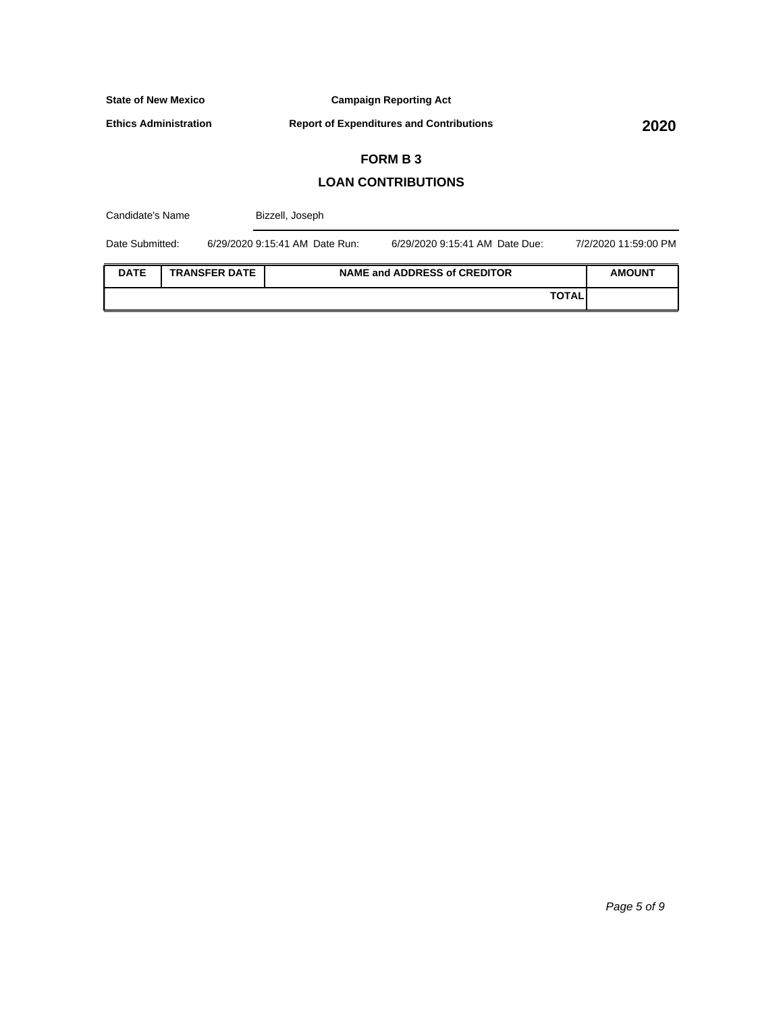**Campaign Reporting Act**

**Ethics Administration**

**Report of Expenditures and Contributions 2020**

# **FORM B 3**

#### **LOAN CONTRIBUTIONS**

| Candidate's Name                    |  |  | Bizzell, Joseph                |                                     |              |                      |  |
|-------------------------------------|--|--|--------------------------------|-------------------------------------|--------------|----------------------|--|
| Date Submitted:                     |  |  | 6/29/2020 9:15:41 AM Date Run: | 6/29/2020 9:15:41 AM Date Due:      |              | 7/2/2020 11:59:00 PM |  |
| <b>DATE</b><br><b>TRANSFER DATE</b> |  |  |                                | <b>NAME and ADDRESS of CREDITOR</b> |              | <b>AMOUNT</b>        |  |
|                                     |  |  |                                |                                     | <b>TOTAL</b> |                      |  |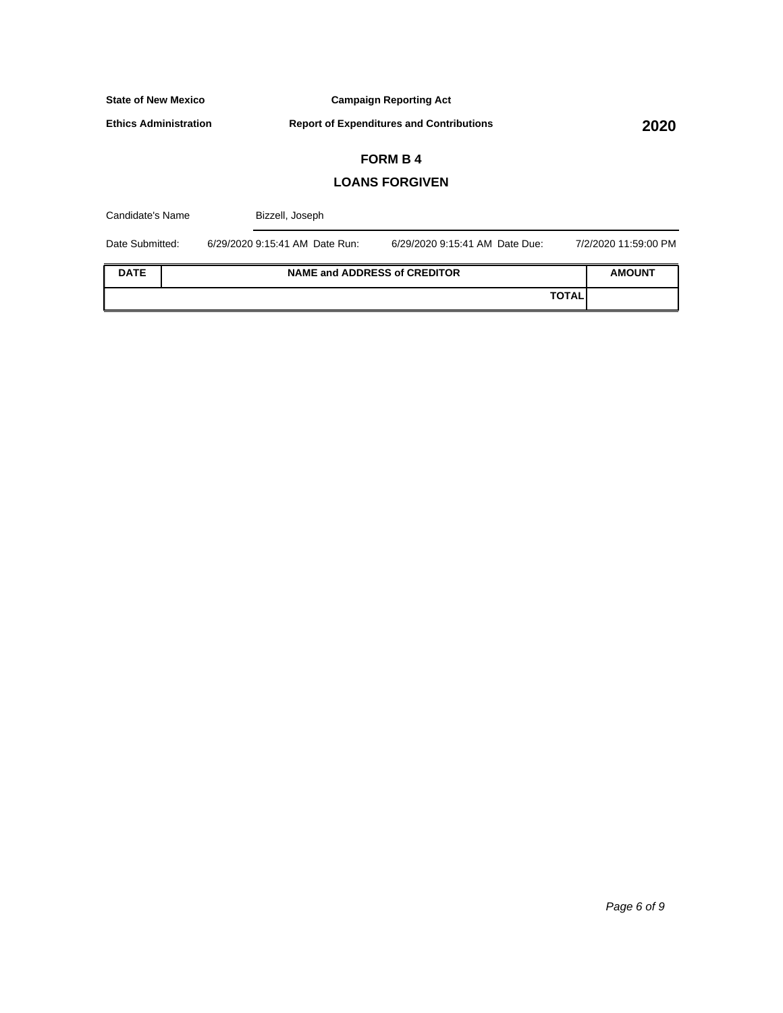**Campaign Reporting Act**

**Ethics Administration**

**Report of Expenditures and Contributions 2020**

# **FORM B 4**

#### **LOANS FORGIVEN**

| Candidate's Name |  | Bizzell, Joseph                |                                     |                      |
|------------------|--|--------------------------------|-------------------------------------|----------------------|
| Date Submitted:  |  | 6/29/2020 9:15:41 AM Date Run: | 6/29/2020 9:15:41 AM Date Due:      | 7/2/2020 11:59:00 PM |
| <b>DATE</b>      |  |                                | <b>NAME and ADDRESS of CREDITOR</b> | <b>AMOUNT</b>        |
|                  |  |                                | <b>TOTAL</b>                        |                      |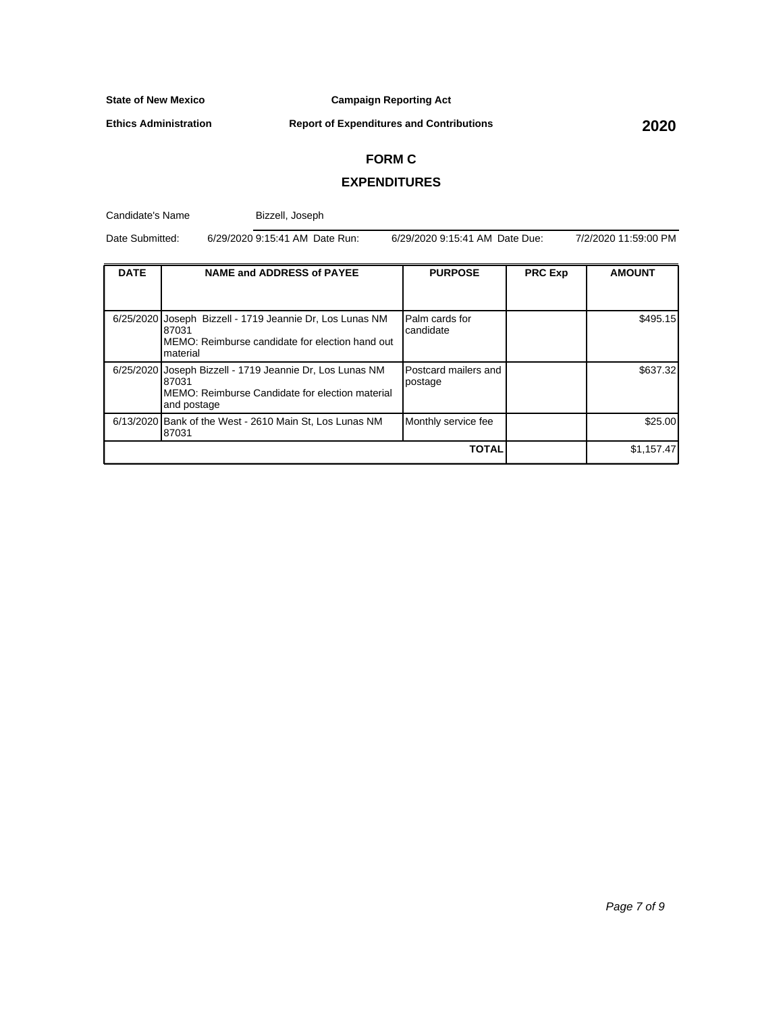**Campaign Reporting Act**

**Ethics Administration**

**Report of Expenditures and Contributions 2020**

#### **FORM C**

#### **EXPENDITURES**

Candidate's Name **DATE NAME** and ADDRESS of PAYEE **PURPOSE PRC Exp AMOUNT** 6/25/2020 Joseph Bizzell - 1719 Jeannie Dr, Los Lunas NM 87031 MEMO: Reimburse candidate for election hand out material Palm cards for candidate \$495.15 6/25/2020 Joseph Bizzell - 1719 Jeannie Dr, Los Lunas NM 87031 MEMO: Reimburse Candidate for election material and postage Postcard mailers and postage \$637.32 6/13/2020 Bank of the West - 2610 Main St, Los Lunas NM 87031 Monthly service fee \$25.00 **TOTAL 1.157.47** Date Submitted: 6/29/2020 9:15:41 AM Date Run: 6/29/2020 9:15:41 AM Date Due: 7/2/2020 11:59:00 PM Bizzell, Joseph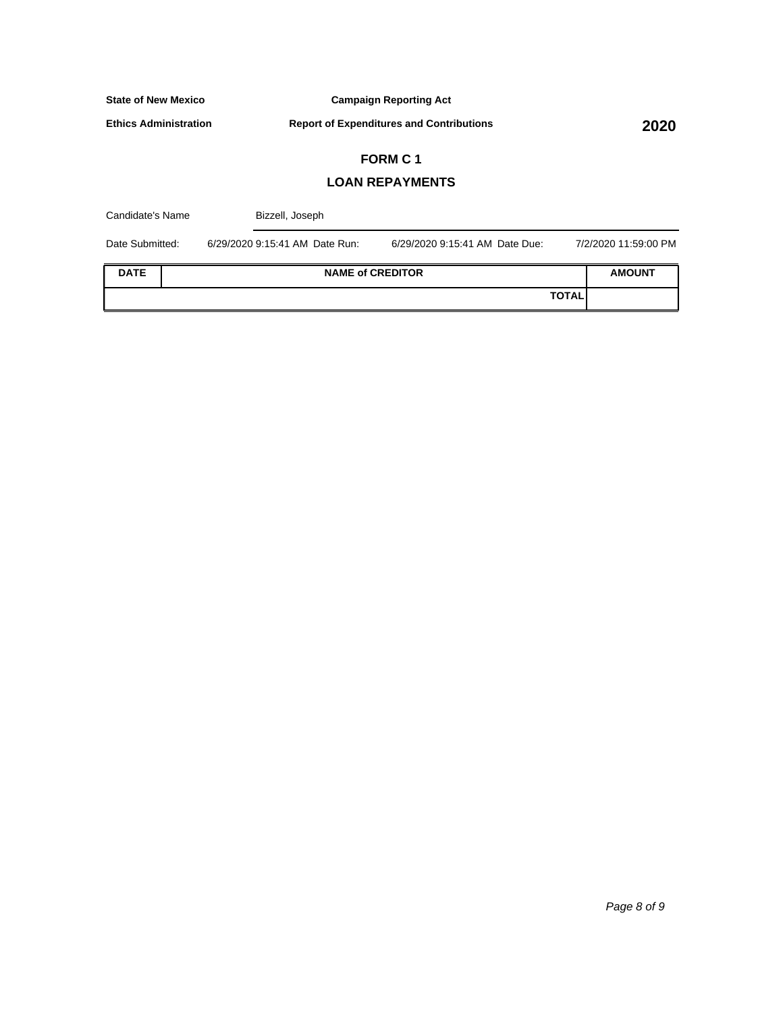**Campaign Reporting Act**

**Ethics Administration**

**Report of Expenditures and Contributions 2020**

# **FORM C 1**

### **LOAN REPAYMENTS**

| Candidate's Name |  | Bizzell, Joseph                |                                |              |                      |
|------------------|--|--------------------------------|--------------------------------|--------------|----------------------|
| Date Submitted:  |  | 6/29/2020 9:15:41 AM Date Run: | 6/29/2020 9:15:41 AM Date Due: |              | 7/2/2020 11:59:00 PM |
| <b>DATE</b>      |  | <b>NAME of CREDITOR</b>        |                                |              | <b>AMOUNT</b>        |
|                  |  |                                |                                | <b>TOTAL</b> |                      |